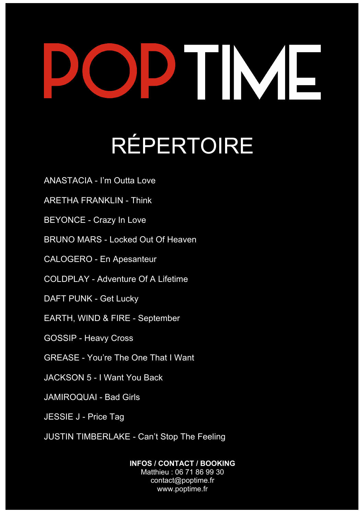## IM I RÉPERTOIRE

ANASTACIA - I'm Outta Love

ARETHA FRANKLIN - Think

BEYONCE - Crazy In Love

BRUNO MARS - Locked Out Of Heaven

CALOGERO - En Apesanteur

COLDPLAY - Adventure Of A Lifetime

DAFT PUNK - Get Lucky

EARTH, WIND & FIRE - September

GOSSIP - Heavy Cross

GREASE - You're The One That I Want

JACKSON 5 - I Want You Back

JAMIROQUAI - Bad Girls

JESSIE J - Price Tag

JUSTIN TIMBERLAKE - Can't Stop The Feeling

**INFOS / CONTACT / BOOKING** Matthieu : 06 71 86 99 30 contact@poptime.fr www.poptime.fr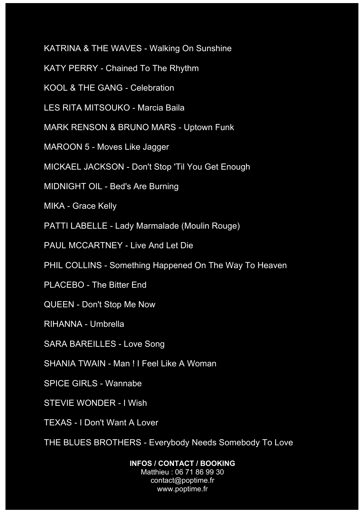KATRINA & THE WAVES - Walking On Sunshine

KATY PERRY - Chained To The Rhythm

KOOL & THE GANG - Celebration

LES RITA MITSOUKO - Marcia Baila

MARK RENSON & BRUNO MARS - Uptown Funk

MAROON 5 - Moves Like Jagger

MICKAEL JACKSON - Don't Stop 'Til You Get Enough

MIDNIGHT OIL - Bed's Are Burning

MIKA - Grace Kelly

PATTI LABELLE - Lady Marmalade (Moulin Rouge)

PAUL MCCARTNEY - Live And Let Die

PHIL COLLINS - Something Happened On The Way To Heaven

PLACEBO - The Bitter End

QUEEN - Don't Stop Me Now

RIHANNA - Umbrella

SARA BAREILLES - Love Song

SHANIA TWAIN - Man ! I Feel Like A Woman

SPICE GIRLS - Wannabe

STEVIE WONDER - I Wish

TEXAS - I Don't Want A Lover

THE BLUES BROTHERS - Everybody Needs Somebody To Love

**INFOS / CONTACT / BOOKING** Matthieu : 06 71 86 99 30 contact@poptime.fr www.poptime.fr